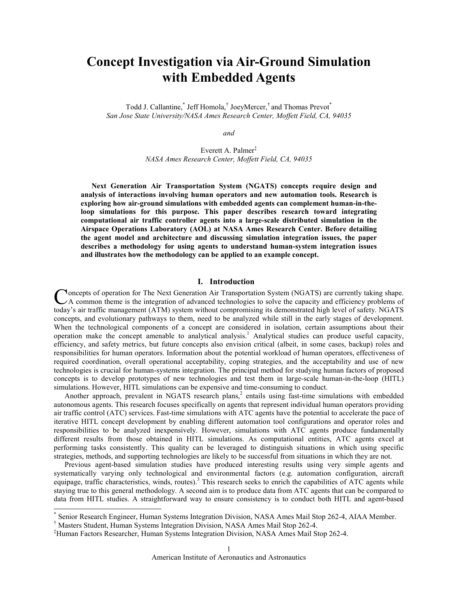# Concept Investigation via Air-Ground Simulation with Embedded Agents

Todd J. Callantine,\* Jeff Homola,† JoeyMercer,† and Thomas Prevot\* San Jose State University/NASA Ames Research Center, Moffett Field, CA, 94035

and

Everett A. Palmer‡ NASA Ames Research Center, Moffett Field, CA, 94035

Next Generation Air Transportation System (NGATS) concepts require design and analysis of interactions involving human operators and new automation tools. Research is exploring how air-ground simulations with embedded agents can complement human-in-theloop simulations for this purpose. This paper describes research toward integrating computational air traffic controller agents into a large-scale distributed simulation in the Airspace Operations Laboratory (AOL) at NASA Ames Research Center. Before detailing the agent model and architecture and discussing simulation integration issues, the paper describes a methodology for using agents to understand human-system integration issues and illustrates how the methodology can be applied to an example concept.

#### I. Introduction

**Noncepts of operation for The Next Generation Air Transportation System (NGATS) are currently taking shape.** Concepts of operation for The Next Generation Air Transportation System (NGATS) are currently taking shape.<br>A common theme is the integration of advanced technologies to solve the capacity and efficiency problems of today's air traffic management (ATM) system without compromising its demonstrated high level of safety. NGATS concepts, and evolutionary pathways to them, need to be analyzed while still in the early stages of development. When the technological components of a concept are considered in isolation, certain assumptions about their operation make the concept amenable to analytical analysis.<sup>1</sup> Analytical studies can produce useful capacity, efficiency, and safety metrics, but future concepts also envision critical (albeit, in some cases, backup) roles and responsibilities for human operators. Information about the potential workload of human operators, effectiveness of required coordination, overall operational acceptability, coping strategies, and the acceptability and use of new technologies is crucial for human-systems integration. The principal method for studying human factors of proposed concepts is to develop prototypes of new technologies and test them in large-scale human-in-the-loop (HITL) simulations. However, HITL simulations can be expensive and time-consuming to conduct.

Another approach, prevalent in NGATS research plans,<sup>2</sup> entails using fast-time simulations with embedded autonomous agents. This research focuses specifically on agents that represent individual human operators providing air traffic control (ATC) services. Fast-time simulations with ATC agents have the potential to accelerate the pace of iterative HITL concept development by enabling different automation tool configurations and operator roles and responsibilities to be analyzed inexpensively. However, simulations with ATC agents produce fundamentally different results from those obtained in HITL simulations. As computational entities, ATC agents excel at performing tasks consistently. This quality can be leveraged to distinguish situations in which using specific strategies, methods, and supporting technologies are likely to be successful from situations in which they are not.

Previous agent-based simulation studies have produced interesting results using very simple agents and systematically varying only technological and environmental factors (e.g. automation configuration, aircraft equipage, traffic characteristics, winds, routes).<sup>3</sup> This research seeks to enrich the capabilities of ATC agents while staying true to this general methodology. A second aim is to produce data from ATC agents that can be compared to data from HITL studies. A straightforward way to ensure consistency is to conduct both HITL and agent-based

-

<sup>\*</sup> Senior Research Engineer, Human Systems Integration Division, NASA Ames Mail Stop 262-4, AIAA Member.

<sup>†</sup> Masters Student, Human Systems Integration Division, NASA Ames Mail Stop 262-4.

<sup>‡</sup>Human Factors Researcher, Human Systems Integration Division, NASA Ames Mail Stop 262-4.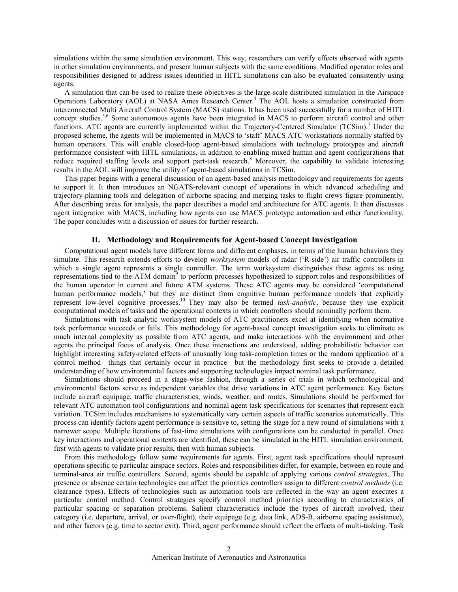simulations within the same simulation environment. This way, researchers can verify effects observed with agents in other simulation environments, and present human subjects with the same conditions. Modified operator roles and responsibilities designed to address issues identified in HITL simulations can also be evaluated consistently using agents.

A simulation that can be used to realize these objectives is the large-scale distributed simulation in the Airspace Operations Laboratory (AOL) at NASA Ames Research Center.<sup>4</sup> The AOL hosts a simulation constructed from interconnected Multi Aircraft Control System (MACS) stations. It has been used successfully for a number of HITL concept studies.5,6 Some autonomous agents have been integrated in MACS to perform aircraft control and other functions. ATC agents are currently implemented within the Trajectory-Centered Simulator (TCSim).<sup>7</sup> Under the proposed scheme, the agents will be implemented in MACS to 'staff' MACS ATC workstations normally staffed by human operators. This will enable closed-loop agent-based simulations with technology prototypes and aircraft performance consistent with HITL simulations, in addition to enabling mixed human and agent configurations that reduce required staffing levels and support part-task research.<sup>8</sup> Moreover, the capability to validate interesting results in the AOL will improve the utility of agent-based simulations in TCSim.

This paper begins with a general discussion of an agent-based analysis methodology and requirements for agents to support it. It then introduces an NGATS-relevant concept of operations in which advanced scheduling and trajectory-planning tools and delegation of airborne spacing and merging tasks to flight crews figure prominently. After describing areas for analysis, the paper describes a model and architecture for ATC agents. It then discusses agent integration with MACS, including how agents can use MACS prototype automation and other functionality. The paper concludes with a discussion of issues for further research.

### II. Methodology and Requirements for Agent-based Concept Investigation

Computational agent models have different forms and different emphases, in terms of the human behaviors they simulate. This research extends efforts to develop worksystem models of radar ('R-side') air traffic controllers in which a single agent represents a single controller. The term worksystem distinguishes these agents as using representations tied to the ATM domain<sup>9</sup> to perform processes hypothesized to support roles and responsibilities of the human operator in current and future ATM systems. These ATC agents may be considered 'computational human performance models, but they are distinct from cognitive human performance models that explicitly represent low-level cognitive processes.<sup>10</sup> They may also be termed task-analytic, because they use explicit computational models of tasks and the operational contexts in which controllers should nominally perform them.

Simulations with task-analytic worksystem models of ATC practitioners excel at identifying when normative task performance succeeds or fails. This methodology for agent-based concept investigation seeks to eliminate as much internal complexity as possible from ATC agents, and make interactions with the environment and other agents the principal focus of analysis. Once these interactions are understood, adding probabilistic behavior can highlight interesting safety-related effects of unusually long task-completion times or the random application of a control method—things that certainly occur in practice—but the methodology first seeks to provide a detailed understanding of how environmental factors and supporting technologies impact nominal task performance.

Simulations should proceed in a stage-wise fashion, through a series of trials in which technological and environmental factors serve as independent variables that drive variations in ATC agent performance. Key factors include aircraft equipage, traffic characteristics, winds, weather, and routes. Simulations should be performed for relevant ATC automation tool configurations and nominal agent task specifications for scenarios that represent each variation. TCSim includes mechanisms to systematically vary certain aspects of traffic scenarios automatically. This process can identify factors agent performance is sensitive to, setting the stage for a new round of simulations with a narrower scope. Multiple iterations of fast-time simulations with configurations can be conducted in parallel. Once key interactions and operational contexts are identified, these can be simulated in the HITL simulation environment, first with agents to validate prior results, then with human subjects.

From this methodology follow some requirements for agents. First, agent task specifications should represent operations specific to particular airspace sectors. Roles and responsibilities differ, for example, between en route and terminal-area air traffic controllers. Second, agents should be capable of applying various control strategies. The presence or absence certain technologies can affect the priorities controllers assign to different control methods (i.e. clearance types). Effects of technologies such as automation tools are reflected in the way an agent executes a particular control method. Control strategies specify control method priorities according to characteristics of particular spacing or separation problems. Salient characteristics include the types of aircraft involved, their category (i.e. departure, arrival, or over-flight), their equipage (e.g. data link, ADS-B, airborne spacing assistance), and other factors (e.g. time to sector exit). Third, agent performance should reflect the effects of multi-tasking. Task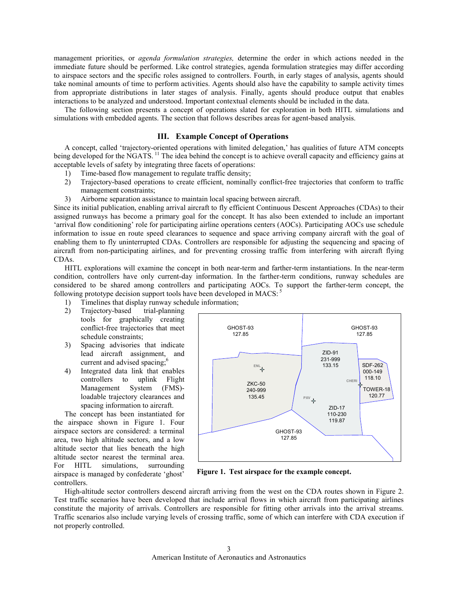management priorities, or *agenda formulation strategies*, determine the order in which actions needed in the immediate future should be performed. Like control strategies, agenda formulation strategies may differ according to airspace sectors and the specific roles assigned to controllers. Fourth, in early stages of analysis, agents should take nominal amounts of time to perform activities. Agents should also have the capability to sample activity times from appropriate distributions in later stages of analysis. Finally, agents should produce output that enables interactions to be analyzed and understood. Important contextual elements should be included in the data.

The following section presents a concept of operations slated for exploration in both HITL simulations and simulations with embedded agents. The section that follows describes areas for agent-based analysis.

# III. Example Concept of Operations

A concept, called 'trajectory-oriented operations with limited delegation,' has qualities of future ATM concepts being developed for the NGATS.<sup>11</sup> The idea behind the concept is to achieve overall capacity and efficiency gains at acceptable levels of safety by integrating three facets of operations:

- 1) Time-based flow management to regulate traffic density;
- 2) Trajectory-based operations to create efficient, nominally conflict-free trajectories that conform to traffic management constraints;
- 3) Airborne separation assistance to maintain local spacing between aircraft.

Since its initial publication, enabling arrival aircraft to fly efficient Continuous Descent Approaches (CDAs) to their assigned runways has become a primary goal for the concept. It has also been extended to include an important 'arrival flow conditioning' role for participating airline operations centers (AOCs). Participating AOCs use schedule information to issue en route speed clearances to sequence and space arriving company aircraft with the goal of enabling them to fly uninterrupted CDAs. Controllers are responsible for adjusting the sequencing and spacing of aircraft from non-participating airlines, and for preventing crossing traffic from interfering with aircraft flying CDAs.

 HITL explorations will examine the concept in both near-term and farther-term instantiations. In the near-term condition, controllers have only current-day information. In the farther-term conditions, runway schedules are considered to be shared among controllers and participating AOCs. To support the farther-term concept, the following prototype decision support tools have been developed in MACS:  $5$ 

- 1) Timelines that display runway schedule information;
- 2) Trajectory-based trial-planning tools for graphically creating conflict-free trajectories that meet schedule constraints;
- 3) Spacing advisories that indicate lead aircraft assignment, and current and advised spacing;
- 4) Integrated data link that enables controllers to uplink Flight Management System (FMS) loadable trajectory clearances and spacing information to aircraft.

The concept has been instantiated for the airspace shown in Figure 1. Four airspace sectors are considered: a terminal area, two high altitude sectors, and a low altitude sector that lies beneath the high altitude sector nearest the terminal area. For HITL simulations, surrounding airspace is managed by confederate 'ghost' controllers.



Figure 1. Test airspace for the example concept.

High-altitude sector controllers descend aircraft arriving from the west on the CDA routes shown in Figure 2. Test traffic scenarios have been developed that include arrival flows in which aircraft from participating airlines constitute the majority of arrivals. Controllers are responsible for fitting other arrivals into the arrival streams. Traffic scenarios also include varying levels of crossing traffic, some of which can interfere with CDA execution if not properly controlled.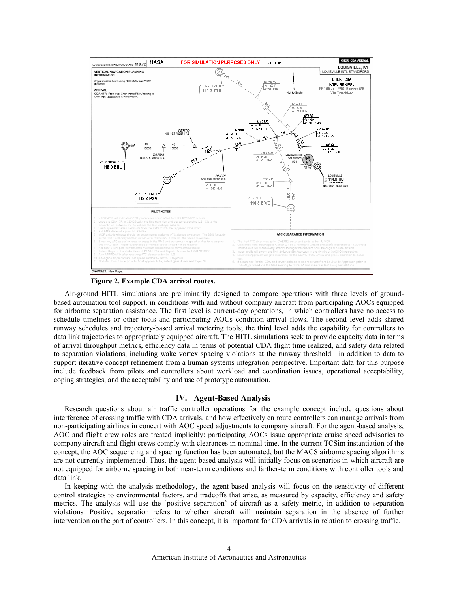

Figure 2. Example CDA arrival routes.

Air-ground HITL simulations are preliminarily designed to compare operations with three levels of groundbased automation tool support, in conditions with and without company aircraft from participating AOCs equipped for airborne separation assistance. The first level is current-day operations, in which controllers have no access to schedule timelines or other tools and participating AOCs condition arrival flows. The second level adds shared runway schedules and trajectory-based arrival metering tools; the third level adds the capability for controllers to data link trajectories to appropriately equipped aircraft. The HITL simulations seek to provide capacity data in terms of arrival throughput metrics, efficiency data in terms of potential CDA flight time realized, and safety data related to separation violations, including wake vortex spacing violations at the runway threshold—in addition to data to support iterative concept refinement from a human-systems integration perspective. Important data for this purpose include feedback from pilots and controllers about workload and coordination issues, operational acceptability, coping strategies, and the acceptability and use of prototype automation.

# IV. Agent-Based Analysis

Research questions about air traffic controller operations for the example concept include questions about interference of crossing traffic with CDA arrivals, and how effectively en route controllers can manage arrivals from non-participating airlines in concert with AOC speed adjustments to company aircraft. For the agent-based analysis, AOC and flight crew roles are treated implicitly: participating AOCs issue appropriate cruise speed advisories to company aircraft and flight crews comply with clearances in nominal time. In the current TCSim instantiation of the concept, the AOC sequencing and spacing function has been automated, but the MACS airborne spacing algorithms are not currently implemented. Thus, the agent-based analysis will initially focus on scenarios in which aircraft are not equipped for airborne spacing in both near-term conditions and farther-term conditions with controller tools and data link.

In keeping with the analysis methodology, the agent-based analysis will focus on the sensitivity of different control strategies to environmental factors, and tradeoffs that arise, as measured by capacity, efficiency and safety metrics. The analysis will use the 'positive separation' of aircraft as a safety metric, in addition to separation violations. Positive separation refers to whether aircraft will maintain separation in the absence of further intervention on the part of controllers. In this concept, it is important for CDA arrivals in relation to crossing traffic.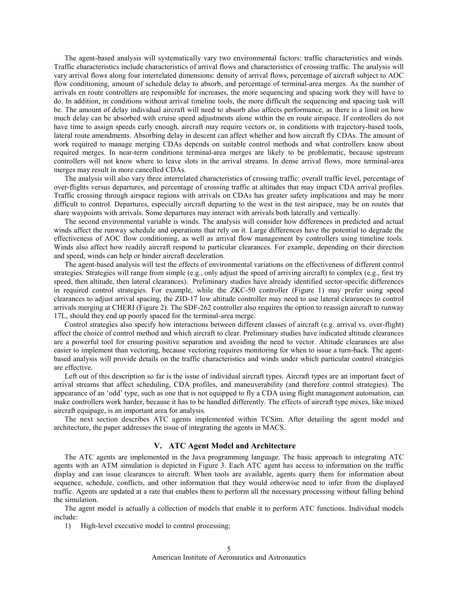The agent-based analysis will systematically vary two environmental factors: traffic characteristics and winds. Traffic characteristics include characteristics of arrival flows and characteristics of crossing traffic. The analysis will vary arrival flows along four interrelated dimensions: density of arrival flows, percentage of aircraft subject to AOC flow conditioning, amount of schedule delay to absorb, and percentage of terminal-area merges. As the number of arrivals en route controllers are responsible for increases, the more sequencing and spacing work they will have to do. In addition, in conditions without arrival timeline tools, the more difficult the sequencing and spacing task will be. The amount of delay individual aircraft will need to absorb also affects performance, as there is a limit on how much delay can be absorbed with cruise speed adjustments alone within the en route airspace. If controllers do not have time to assign speeds early enough, aircraft may require vectors or, in conditions with trajectory-based tools, lateral route amendments. Absorbing delay in descent can affect whether and how aircraft fly CDAs. The amount of work required to manage merging CDAs depends on suitable control methods and what controllers know about required merges. In near-term conditions terminal-area merges are likely to be problematic, because upstream controllers will not know where to leave slots in the arrival streams. In dense arrival flows, more terminal-area merges may result in more cancelled CDAs.

The analysis will also vary three interrelated characteristics of crossing traffic: overall traffic level, percentage of over-flights versus departures, and percentage of crossing traffic at altitudes that may impact CDA arrival profiles. Traffic crossing through airspace regions with arrivals on CDAs has greater safety implications and may be more difficult to control. Departures, especially aircraft departing to the west in the test airspace, may be on routes that share waypoints with arrivals. Some departures may interact with arrivals both laterally and vertically.

The second environmental variable is winds. The analysis will consider how differences in predicted and actual winds affect the runway schedule and operations that rely on it. Large differences have the potential to degrade the effectiveness of AOC flow conditioning, as well as arrival flow management by controllers using timeline tools. Winds also affect how readily aircraft respond to particular clearances. For example, depending on their direction and speed, winds can help or hinder aircraft deceleration.

The agent-based analysis will test the effects of environmental variations on the effectiveness of different control strategies. Strategies will range from simple (e.g., only adjust the speed of arriving aircraft) to complex (e.g., first try speed, then altitude, then lateral clearances). Preliminary studies have already identified sector-specific differences in required control strategies. For example, while the ZKC-50 controller (Figure 1) may prefer using speed clearances to adjust arrival spacing, the ZID-17 low altitude controller may need to use lateral clearances to control arrivals merging at CHERI (Figure 2). The SDF-262 controller also requires the option to reassign aircraft to runway 17L, should they end up poorly spaced for the terminal-area merge.

Control strategies also specify how interactions between different classes of aircraft (e.g. arrival vs. over-flight) affect the choice of control method and which aircraft to clear. Preliminary studies have indicated altitude clearances are a powerful tool for ensuring positive separation and avoiding the need to vector. Altitude clearances are also easier to implement than vectoring, because vectoring requires monitoring for when to issue a turn-back. The agentbased analysis will provide details on the traffic characteristics and winds under which particular control strategies are effective.

Left out of this description so far is the issue of individual aircraft types. Aircraft types are an important facet of arrival streams that affect scheduling, CDA profiles, and maneuverability (and therefore control strategies). The appearance of an 'odd' type, such as one that is not equipped to fly a CDA using flight management automation, can make controllers work harder, because it has to be handled differently. The effects of aircraft type mixes, like mixed aircraft equipage, is an important area for analysis.

The next section describes ATC agents implemented within TCSim. After detailing the agent model and architecture, the paper addresses the issue of integrating the agents in MACS.

# V. ATC Agent Model and Architecture

The ATC agents are implemented in the Java programming language. The basic approach to integrating ATC agents with an ATM simulation is depicted in Figure 3. Each ATC agent has access to information on the traffic display and can issue clearances to aircraft. When tools are available, agents query them for information about sequence, schedule, conflicts, and other information that they would otherwise need to infer from the displayed traffic. Agents are updated at a rate that enables them to perform all the necessary processing without falling behind the simulation.

The agent model is actually a collection of models that enable it to perform ATC functions. Individual models include:

1) High-level executive model to control processing;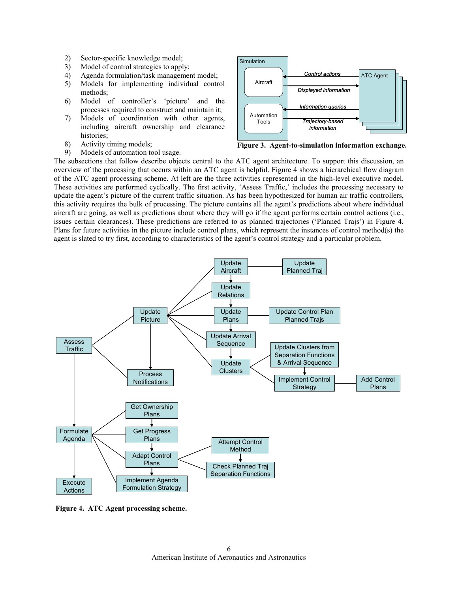- 2) Sector-specific knowledge model;
- 3) Model of control strategies to apply;
- 4) Agenda formulation/task management model;
- 5) Models for implementing individual control methods;
- 6) Model of controller's 'picture' and the processes required to construct and maintain it;
- 7) Models of coordination with other agents, including aircraft ownership and clearance histories;
- 8) Activity timing models;
- 9) Models of automation tool usage.



Figure 3. Agent-to-simulation information exchange.

The subsections that follow describe objects central to the ATC agent architecture. To support this discussion, an overview of the processing that occurs within an ATC agent is helpful. Figure 4 shows a hierarchical flow diagram of the ATC agent processing scheme. At left are the three activities represented in the high-level executive model. These activities are performed cyclically. The first activity, 'Assess Traffic,' includes the processing necessary to update the agent's picture of the current traffic situation. As has been hypothesized for human air traffic controllers, this activity requires the bulk of processing. The picture contains all the agent's predictions about where individual aircraft are going, as well as predictions about where they will go if the agent performs certain control actions (i.e., issues certain clearances). These predictions are referred to as planned trajectories ('Planned Trajs') in Figure 4. Plans for future activities in the picture include control plans, which represent the instances of control method(s) the agent is slated to try first, according to characteristics of the agent's control strategy and a particular problem.



Figure 4. ATC Agent processing scheme.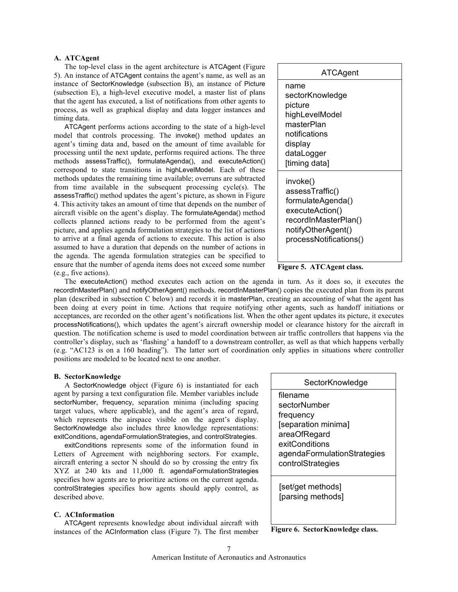# A. ATCAgent

The top-level class in the agent architecture is ATCAgent (Figure 5). An instance of ATCAgent contains the agent's name, as well as an instance of SectorKnowledge (subsection B), an instance of Picture (subsection E), a high-level executive model, a master list of plans that the agent has executed, a list of notifications from other agents to process, as well as graphical display and data logger instances and timing data.

ATCAgent performs actions according to the state of a high-level model that controls processing. The invoke() method updates an agent's timing data and, based on the amount of time available for processing until the next update, performs required actions. The three methods assessTraffic(), formulateAgenda(), and executeAction() correspond to state transitions in highLevelModel. Each of these methods updates the remaining time available; overruns are subtracted from time available in the subsequent processing cycle(s). The assessTraffic() method updates the agent's picture, as shown in Figure 4. This activity takes an amount of time that depends on the number of aircraft visible on the agent's display. The formulateAgenda() method collects planned actions ready to be performed from the agent's picture, and applies agenda formulation strategies to the list of actions to arrive at a final agenda of actions to execute. This action is also assumed to have a duration that depends on the number of actions in the agenda. The agenda formulation strategies can be specified to ensure that the number of agenda items does not exceed some number (e.g., five actions).

| ATCAgent                                                                                                                                    |
|---------------------------------------------------------------------------------------------------------------------------------------------|
| name<br>sectorKnowledge<br>picture<br>highLevelModel<br>masterPlan<br>notifications<br>display<br>dataLogger<br>[timing data]               |
| invoke()<br>assessTraffic()<br>formulateAgenda()<br>executeAction()<br>recordInMasterPlan()<br>notifyOtherAgent()<br>processNotifications() |

# Figure 5. ATCAgent class.

The executeAction() method executes each action on the agenda in turn. As it does so, it executes the recordInMasterPlan() and notifyOtherAgent() methods. recordInMasterPlan() copies the executed plan from its parent plan (described in subsection C below) and records it in masterPlan, creating an accounting of what the agent has been doing at every point in time. Actions that require notifying other agents, such as handoff initiations or acceptances, are recorded on the other agent's notifications list. When the other agent updates its picture, it executes processNotifications(), which updates the agent's aircraft ownership model or clearance history for the aircraft in question. The notification scheme is used to model coordination between air traffic controllers that happens via the controller's display, such as 'flashing' a handoff to a downstream controller, as well as that which happens verbally (e.g. "AC123 is on a 160 heading"). The latter sort of coordination only applies in situations where controller positions are modeled to be located next to one another.

#### B. SectorKnowledge

A SectorKnowledge object (Figure 6) is instantiated for each agent by parsing a text configuration file. Member variables include sectorNumber, frequency, separation minima (including spacing target values, where applicable), and the agent's area of regard, which represents the airspace visible on the agent's display. SectorKnowledge also includes three knowledge representations: exitConditions, agendaFormulationStrategies, and controlStrategies.

exitConditions represents some of the information found in Letters of Agreement with neighboring sectors. For example, aircraft entering a sector N should do so by crossing the entry fix XYZ at 240 kts and 11,000 ft. agendaFormulationStrategies specifies how agents are to prioritize actions on the current agenda. controlStrategies specifies how agents should apply control, as described above.

#### C. ACInformation

ATCAgent represents knowledge about individual aircraft with instances of the ACInformation class (Figure 7). The first member

Figure 6. SectorKnowledge class.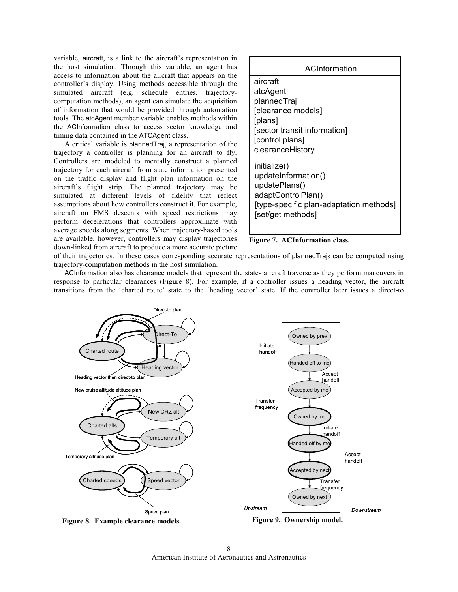variable, aircraft, is a link to the aircraft's representation in the host simulation. Through this variable, an agent has access to information about the aircraft that appears on the controller's display. Using methods accessible through the simulated aircraft (e.g. schedule entries, trajectorycomputation methods), an agent can simulate the acquisition of information that would be provided through automation tools. The atcAgent member variable enables methods within the ACInformation class to access sector knowledge and timing data contained in the ATCAgent class.

A critical variable is plannedTraj, a representation of the trajectory a controller is planning for an aircraft to fly. Controllers are modeled to mentally construct a planned trajectory for each aircraft from state information presented on the traffic display and flight plan information on the aircraft's flight strip. The planned trajectory may be simulated at different levels of fidelity that reflect assumptions about how controllers construct it. For example, aircraft on FMS descents with speed restrictions may perform decelerations that controllers approximate with average speeds along segments. When trajectory-based tools are available, however, controllers may display trajectories down-linked from aircraft to produce a more accurate picture

| ACInformation                                                                                                                               |
|---------------------------------------------------------------------------------------------------------------------------------------------|
| aircraft<br>atcAgent<br>plannedTraj<br>[clearance models]<br>[plans]<br>[sector transit information]<br>[control plans]<br>clearanceHistory |
| initialize()<br>updateInformation()<br>updatePlans()<br>adaptControlPlan()<br>[type-specific plan-adaptation methods]<br>[set/get methods]  |

Figure 7. ACInformation class.

of their trajectories. In these cases corresponding accurate representations of plannedTrajs can be computed using trajectory-computation methods in the host simulation.

ACInformation also has clearance models that represent the states aircraft traverse as they perform maneuvers in response to particular clearances (Figure 8). For example, if a controller issues a heading vector, the aircraft transitions from the 'charted route' state to the 'heading vector' state. If the controller later issues a direct-to



Figure 8. Example clearance models.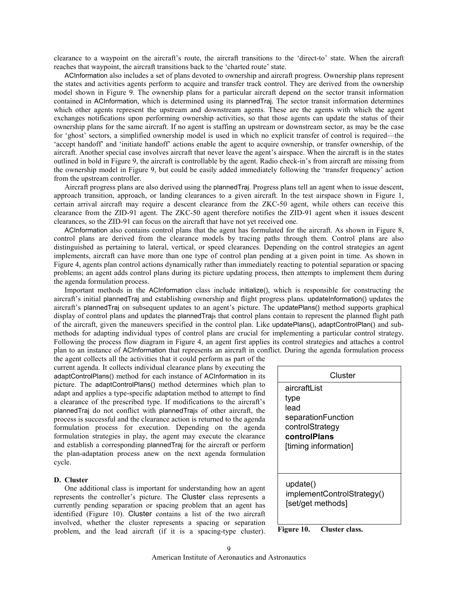clearance to a waypoint on the aircraft's route, the aircraft transitions to the 'direct-to' state. When the aircraft reaches that waypoint, the aircraft transitions back to the 'charted route' state.

ACInformation also includes a set of plans devoted to ownership and aircraft progress. Ownership plans represent the states and activities agents perform to acquire and transfer track control. They are derived from the ownership model shown in Figure 9. The ownership plans for a particular aircraft depend on the sector transit information contained in ACInformation, which is determined using its plannedTraj. The sector transit information determines which other agents represent the upstream and downstream agents. These are the agents with which the agent exchanges notifications upon performing ownership activities, so that those agents can update the status of their ownership plans for the same aircraft. If no agent is staffing an upstream or downstream sector, as may be the case for 'ghost' sectors, a simplified ownership model is used in which no explicit transfer of control is required—the 'accept handoff' and 'initiate handoff' actions enable the agent to acquire ownership, or transfer ownership, of the aircraft. Another special case involves aircraft that never leave the agent's airspace. When the aircraft is in the states outlined in bold in Figure 9, the aircraft is controllable by the agent. Radio check-in's from aircraft are missing from the ownership model in Figure 9, but could be easily added immediately following the 'transfer frequency' action from the upstream controller.

Aircraft progress plans are also derived using the plannedTraj. Progress plans tell an agent when to issue descent, approach transition, approach, or landing clearances to a given aircraft. In the test airspace shown in Figure 1, certain arrival aircraft may require a descent clearance from the ZKC-50 agent, while others can receive this clearance from the ZID-91 agent. The ZKC-50 agent therefore notifies the ZID-91 agent when it issues descent clearances, so the ZID-91 can focus on the aircraft that have not yet received one.

ACInformation also contains control plans that the agent has formulated for the aircraft. As shown in Figure 8, control plans are derived from the clearance models by tracing paths through them. Control plans are also distinguished as pertaining to lateral, vertical, or speed clearances. Depending on the control strategies an agent implements, aircraft can have more than one type of control plan pending at a given point in time. As shown in Figure 4, agents plan control actions dynamically rather than immediately reacting to potential separation or spacing problems; an agent adds control plans during its picture updating process, then attempts to implement them during the agenda formulation process.

Important methods in the ACInformation class include initialize(), which is responsible for constructing the aircraft's initial plannedTraj and establishing ownership and flight progress plans. updateInformation() updates the aircraft's plannedTraj on subsequent updates to an agent's picture. The updatePlans() method supports graphical display of control plans and updates the planned Trajs that control plans contain to represent the planned flight path of the aircraft, given the maneuvers specified in the control plan. Like updatePlans(), adaptControlPlan() and submethods for adapting individual types of control plans are crucial for implementing a particular control strategy. Following the process flow diagram in Figure 4, an agent first applies its control strategies and attaches a control plan to an instance of ACInformation that represents an aircraft in conflict. During the agenda formulation process

the agent collects all the activities that it could perform as part of the current agenda. It collects individual clearance plans by executing the adaptControlPlans() method for each instance of ACInformation in its picture. The adaptControlPlans() method determines which plan to adapt and applies a type-specific adaptation method to attempt to find a clearance of the prescribed type. If modifications to the aircraft's plannedTraj do not conflict with plannedTrajs of other aircraft, the process is successful and the clearance action is returned to the agenda formulation process for execution. Depending on the agenda formulation strategies in play, the agent may execute the clearance and establish a corresponding plannedTraj for the aircraft or perform the plan-adaptation process anew on the next agenda formulation cycle.

#### D. Cluster

One additional class is important for understanding how an agent represents the controller's picture. The Cluster class represents a currently pending separation or spacing problem that an agent has identified (Figure 10). Cluster contains a list of the two aircraft involved, whether the cluster represents a spacing or separation problem, and the lead aircraft (if it is a spacing-type cluster).

| Cluster                                                                                                        |
|----------------------------------------------------------------------------------------------------------------|
| aircraftl ist<br>type<br>lead<br>separationFunction<br>controlStrategy<br>controlPlans<br>[timing information] |
| update()<br>implementControlStrategy()<br>[set/get methods]                                                    |

Figure 10. Cluster class.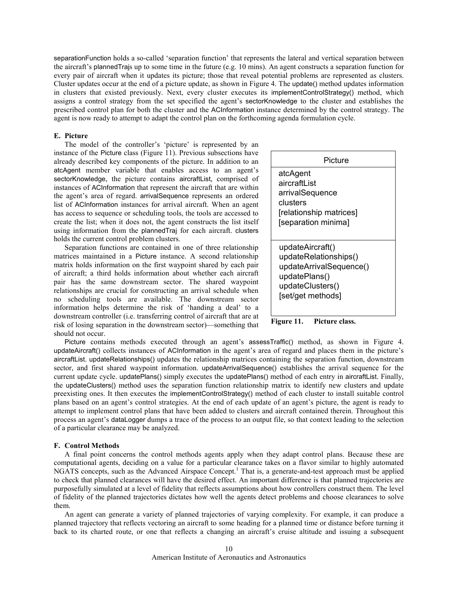separationFunction holds a so-called 'separation function' that represents the lateral and vertical separation between the aircraft's plannedTrajs up to some time in the future (e.g. 10 mins). An agent constructs a separation function for every pair of aircraft when it updates its picture; those that reveal potential problems are represented as clusters. Cluster updates occur at the end of a picture update, as shown in Figure 4. The update() method updates information in clusters that existed previously. Next, every cluster executes its implementControlStrategy() method, which assigns a control strategy from the set specified the agent's sectorKnowledge to the cluster and establishes the prescribed control plan for both the cluster and the ACInformation instance determined by the control strategy. The agent is now ready to attempt to adapt the control plan on the forthcoming agenda formulation cycle.

#### E. Picture

The model of the controller's 'picture' is represented by an instance of the Picture class (Figure 11). Previous subsections have already described key components of the picture. In addition to an atcAgent member variable that enables access to an agent's sectorKnowledge, the picture contains aircraftList, comprised of instances of ACInformation that represent the aircraft that are within the agent's area of regard. arrivalSequence represents an ordered list of ACInformation instances for arrival aircraft. When an agent has access to sequence or scheduling tools, the tools are accessed to create the list; when it does not, the agent constructs the list itself using information from the plannedTraj for each aircraft. clusters holds the current control problem clusters.

Separation functions are contained in one of three relationship matrices maintained in a Picture instance. A second relationship matrix holds information on the first waypoint shared by each pair of aircraft; a third holds information about whether each aircraft pair has the same downstream sector. The shared waypoint relationships are crucial for constructing an arrival schedule when no scheduling tools are available. The downstream sector information helps determine the risk of 'handing a deal' to a downstream controller (i.e. transferring control of aircraft that are at risk of losing separation in the downstream sector)—something that should not occur.

| Picture                                                                                                                        |
|--------------------------------------------------------------------------------------------------------------------------------|
| atcAgent<br>aircraftList<br>arrivalSequence<br>clusters<br>[relationship matrices]<br>[separation minima]                      |
| updateAircraft()<br>updateRelationships()<br>updateArrivalSequence()<br>updatePlans()<br>updateClusters()<br>[set/get methods] |



Picture contains methods executed through an agent's assessTraffic() method, as shown in Figure 4. updateAircraft() collects instances of ACInformation in the agent's area of regard and places them in the picture's aircraftList. updateRelationships() updates the relationship matrices containing the separation function, downstream sector, and first shared waypoint information. updateArrivalSequence() establishes the arrival sequence for the current update cycle. updatePlans() simply executes the updatePlans() method of each entry in aircraftList. Finally, the updateClusters() method uses the separation function relationship matrix to identify new clusters and update preexisting ones. It then executes the implementControlStrategy() method of each cluster to install suitable control plans based on an agent's control strategies. At the end of each update of an agent's picture, the agent is ready to attempt to implement control plans that have been added to clusters and aircraft contained therein. Throughout this process an agent's dataLogger dumps a trace of the process to an output file, so that context leading to the selection of a particular clearance may be analyzed.

#### F. Control Methods

A final point concerns the control methods agents apply when they adapt control plans. Because these are computational agents, deciding on a value for a particular clearance takes on a flavor similar to highly automated NGATS concepts, such as the Advanced Airspace Concept.<sup>1</sup> That is, a generate-and-test approach must be applied to check that planned clearances will have the desired effect. An important difference is that planned trajectories are purposefully simulated at a level of fidelity that reflects assumptions about how controllers construct them. The level of fidelity of the planned trajectories dictates how well the agents detect problems and choose clearances to solve them.

An agent can generate a variety of planned trajectories of varying complexity. For example, it can produce a planned trajectory that reflects vectoring an aircraft to some heading for a planned time or distance before turning it back to its charted route, or one that reflects a changing an aircraft's cruise altitude and issuing a subsequent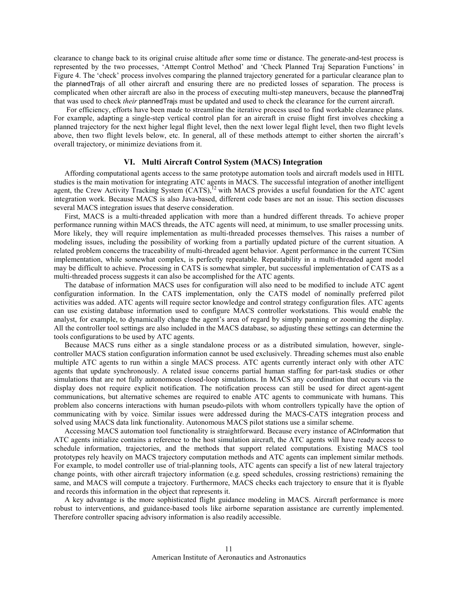clearance to change back to its original cruise altitude after some time or distance. The generate-and-test process is represented by the two processes, 'Attempt Control Method' and 'Check Planned Traj Separation Functions' in Figure 4. The 'check' process involves comparing the planned trajectory generated for a particular clearance plan to the plannedTrajs of all other aircraft and ensuring there are no predicted losses of separation. The process is complicated when other aircraft are also in the process of executing multi-step maneuvers, because the plannedTraj that was used to check their plannedTrajs must be updated and used to check the clearance for the current aircraft.

 For efficiency, efforts have been made to streamline the iterative process used to find workable clearance plans. For example, adapting a single-step vertical control plan for an aircraft in cruise flight first involves checking a planned trajectory for the next higher legal flight level, then the next lower legal flight level, then two flight levels above, then two flight levels below, etc. In general, all of these methods attempt to either shorten the aircraft's overall trajectory, or minimize deviations from it.

# VI. Multi Aircraft Control System (MACS) Integration

Affording computational agents access to the same prototype automation tools and aircraft models used in HITL studies is the main motivation for integrating ATC agents in MACS. The successful integration of another intelligent agent, the Crew Activity Tracking System  $(CATS)$ ,<sup>12</sup> with MACS provides a useful foundation for the ATC agent integration work. Because MACS is also Java-based, different code bases are not an issue. This section discusses several MACS integration issues that deserve consideration.

First, MACS is a multi-threaded application with more than a hundred different threads. To achieve proper performance running within MACS threads, the ATC agents will need, at minimum, to use smaller processing units. More likely, they will require implementation as multi-threaded processes themselves. This raises a number of modeling issues, including the possibility of working from a partially updated picture of the current situation. A related problem concerns the traceability of multi-threaded agent behavior. Agent performance in the current TCSim implementation, while somewhat complex, is perfectly repeatable. Repeatability in a multi-threaded agent model may be difficult to achieve. Processing in CATS is somewhat simpler, but successful implementation of CATS as a multi-threaded process suggests it can also be accomplished for the ATC agents.

The database of information MACS uses for configuration will also need to be modified to include ATC agent configuration information. In the CATS implementation, only the CATS model of nominally preferred pilot activities was added. ATC agents will require sector knowledge and control strategy configuration files. ATC agents can use existing database information used to configure MACS controller workstations. This would enable the analyst, for example, to dynamically change the agent's area of regard by simply panning or zooming the display. All the controller tool settings are also included in the MACS database, so adjusting these settings can determine the tools configurations to be used by ATC agents.

Because MACS runs either as a single standalone process or as a distributed simulation, however, singlecontroller MACS station configuration information cannot be used exclusively. Threading schemes must also enable multiple ATC agents to run within a single MACS process. ATC agents currently interact only with other ATC agents that update synchronously. A related issue concerns partial human staffing for part-task studies or other simulations that are not fully autonomous closed-loop simulations. In MACS any coordination that occurs via the display does not require explicit notification. The notification process can still be used for direct agent-agent communications, but alternative schemes are required to enable ATC agents to communicate with humans. This problem also concerns interactions with human pseudo-pilots with whom controllers typically have the option of communicating with by voice. Similar issues were addressed during the MACS-CATS integration process and solved using MACS data link functionality. Autonomous MACS pilot stations use a similar scheme.

Accessing MACS automation tool functionality is straightforward. Because every instance of ACInformation that ATC agents initialize contains a reference to the host simulation aircraft, the ATC agents will have ready access to schedule information, trajectories, and the methods that support related computations. Existing MACS tool prototypes rely heavily on MACS trajectory computation methods and ATC agents can implement similar methods. For example, to model controller use of trial-planning tools, ATC agents can specify a list of new lateral trajectory change points, with other aircraft trajectory information (e.g. speed schedules, crossing restrictions) remaining the same, and MACS will compute a trajectory. Furthermore, MACS checks each trajectory to ensure that it is flyable and records this information in the object that represents it.

A key advantage is the more sophisticated flight guidance modeling in MACS. Aircraft performance is more robust to interventions, and guidance-based tools like airborne separation assistance are currently implemented. Therefore controller spacing advisory information is also readily accessible.